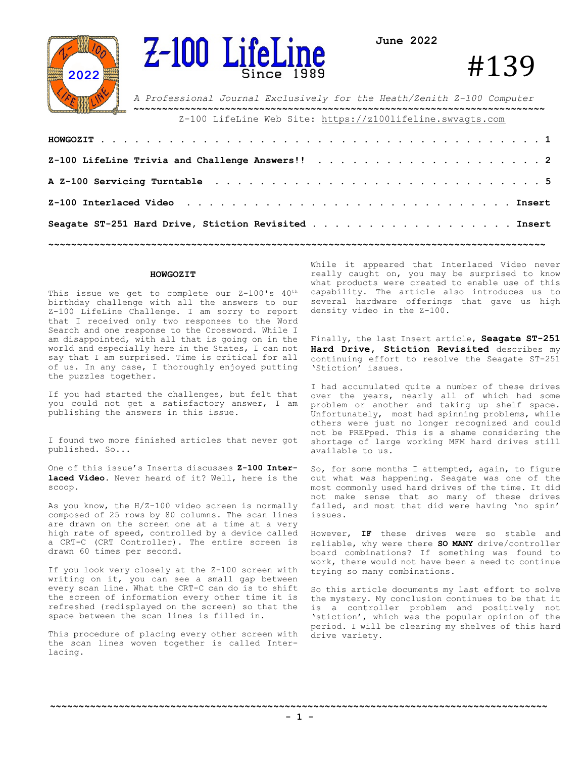



**June 2022**

# #139

*A Professional Journal Exclusively for the Heath/Zenith Z-100 Computer* **~~~~~~~~~~~~~~~~~~~~~~~~~~~~~~~~~~~~~~~~~~~~~~~~~~~~~~~~~~~~~~~~~~~~~~~~** Z-100 LifeLine Web Site: https://z100lifeline.swvagts.com

| Seagate ST-251 Hard Drive, Stiction Revisited Tnsert |  |
|------------------------------------------------------|--|
|                                                      |  |

#### **HOWGOZIT**

This issue we get to complete our Z-100's 40<sup>th</sup> birthday challenge with all the answers to our Z-100 LifeLine Challenge. I am sorry to report that I received only two responses to the Word Search and one response to the Crossword. While I am disappointed, with all that is going on in the world and especially here in the States, I can not say that I am surprised. Time is critical for all of us. In any case, I thoroughly enjoyed putting the puzzles together.

If you had started the challenges, but felt that you could not get a satisfactory answer, I am publishing the answers in this issue.

I found two more finished articles that never got published. So...

One of this issue's Inserts discusses **Z-100 Interlaced Video**. Never heard of it? Well, here is the scoop.

As you know, the H/Z-100 video screen is normally composed of 25 rows by 80 columns. The scan lines are drawn on the screen one at a time at a very high rate of speed, controlled by a device called a CRT-C (CRT Controller). The entire screen is drawn 60 times per second.

If you look very closely at the Z-100 screen with writing on it, you can see a small gap between every scan line. What the CRT-C can do is to shift the screen of information every other time it is refreshed (redisplayed on the screen) so that the space between the scan lines is filled in.

This procedure of placing every other screen with the scan lines woven together is called Interlacing.

While it appeared that Interlaced Video never really caught on, you may be surprised to know what products were created to enable use of this capability. The article also introduces us to several hardware offerings that gave us high density video in the Z-100.

Finally, the last Insert article, **Seagate ST-251 Hard Drive, Stiction Revisited** describes my continuing effort to resolve the Seagate ST-251 'Stiction' issues.

I had accumulated quite a number of these drives over the years, nearly all of which had some problem or another and taking up shelf space. Unfortunately, most had spinning problems, while others were just no longer recognized and could not be PREPped. This is a shame considering the shortage of large working MFM hard drives still available to us.

So, for some months I attempted, again, to figure out what was happening. Seagate was one of the most commonly used hard drives of the time. It did not make sense that so many of these drives failed, and most that did were having 'no spin' issues.

However, **IF** these drives were so stable and reliable, why were there **SO MANY** drive/controller board combinations? If something was found to work, there would not have been a need to continue trying so many combinations.

So this article documents my last effort to solve the mystery. My conclusion continues to be that it is a controller problem and positively not 'stiction', which was the popular opinion of the period. I will be clearing my shelves of this hard drive variety.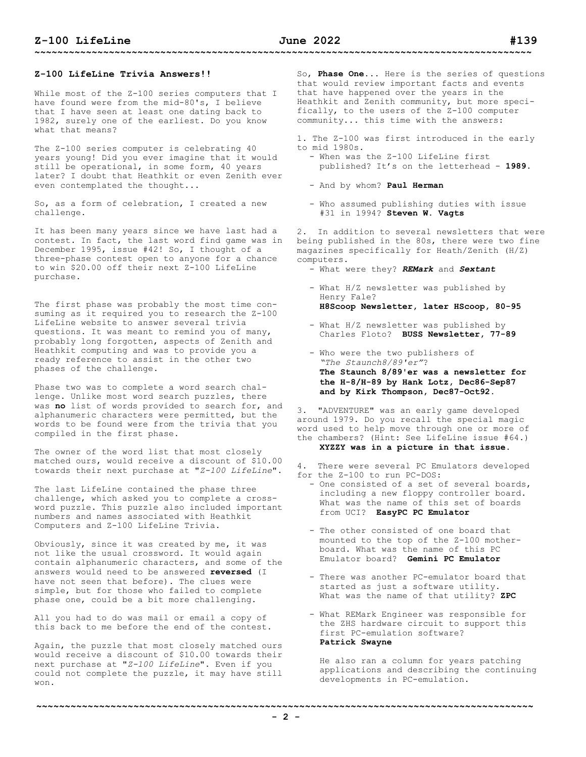While most of the Z-100 series computers that I have found were from the mid-80's, I believe that I have seen at least one dating back to 1982, surely one of the earliest. Do you know what that means?

The Z-100 series computer is celebrating 40 years young! Did you ever imagine that it would still be operational, in some form, 40 years later? I doubt that Heathkit or even Zenith ever even contemplated the thought...

So, as a form of celebration, I created a new challenge.

It has been many years since we have last had a contest. In fact, the last word find game was in December 1995, issue #42! So, I thought of a three-phase contest open to anyone for a chance to win \$20.00 off their next Z-100 LifeLine purchase.

The first phase was probably the most time consuming as it required you to research the Z-100 LifeLine website to answer several trivia questions. It was meant to remind you of many, probably long forgotten, aspects of Zenith and Heathkit computing and was to provide you a ready reference to assist in the other two phases of the challenge.

Phase two was to complete a word search challenge. Unlike most word search puzzles, there was **no** list of words provided to search for, and alphanumeric characters were permitted, but the words to be found were from the trivia that you compiled in the first phase.

The owner of the word list that most closely matched ours, would receive a discount of \$10.00 towards their next purchase at "*Z-100 LifeLine*".

The last LifeLine contained the phase three challenge, which asked you to complete a crossword puzzle. This puzzle also included important numbers and names associated with Heathkit Computers and Z-100 LifeLine Trivia.

Obviously, since it was created by me, it was not like the usual crossword. It would again contain alphanumeric characters, and some of the answers would need to be answered **reversed** (I have not seen that before). The clues were simple, but for those who failed to complete phase one, could be a bit more challenging.

All you had to do was mail or email a copy of this back to me before the end of the contest.

Again, the puzzle that most closely matched ours would receive a discount of \$10.00 towards their next purchase at "*Z-100 LifeLine*". Even if you could not complete the puzzle, it may have still won.

So, **Phase One**... Here is the series of questions that would review important facts and events that have happened over the years in the Heathkit and Zenith community, but more specifically, to the users of the Z-100 computer community... this time with the answers:

1. The Z-100 was first introduced in the early to mid 1980s.

- When was the Z-100 LifeLine first published? It's on the letterhead - **1989**.
- And by whom? **Paul Herman**
- Who assumed publishing duties with issue #31 in 1994? **Steven W. Vagts**

2. In addition to several newsletters that were being published in the 80s, there were two fine magazines specifically for Heath/Zenith (H/Z) computers.

- What were they? *REMark* and *Sextant*
- What H/Z newsletter was published by Henry Fale? **H8Scoop Newsletter, later HScoop, 80-95**
- What H/Z newsletter was published by Charles Floto? **BUSS Newsletter, 77-89**
- Who were the two publishers of *"The Staunch8/89'er"*? **The Staunch 8/89'er was a newsletter for the H-8/H-89 by Hank Lotz, Dec86-Sep87 and by Kirk Thompson, Dec87-Oct92.**

3. "ADVENTURE" was an early game developed around 1979. Do you recall the special magic word used to help move through one or more of the chambers? (Hint: See LifeLine issue #64.) **XYZZY was in a picture in that issue.**

- 4. There were several PC Emulators developed for the Z-100 to run PC-DOS:
	- One consisted of a set of several boards, including a new floppy controller board. What was the name of this set of boards from UCI? **EasyPC PC Emulator**
	- The other consisted of one board that mounted to the top of the Z-100 mother board. What was the name of this PC Emulator board? **Gemini PC Emulator**
	- There was another PC-emulator board that started as just a software utility. What was the name of that utility? **ZPC**
	- What REMark Engineer was responsible for the ZHS hardware circuit to support this first PC-emulation software? **Patrick Swayne**

 He also ran a column for years patching applications and describing the continuing developments in PC-emulation.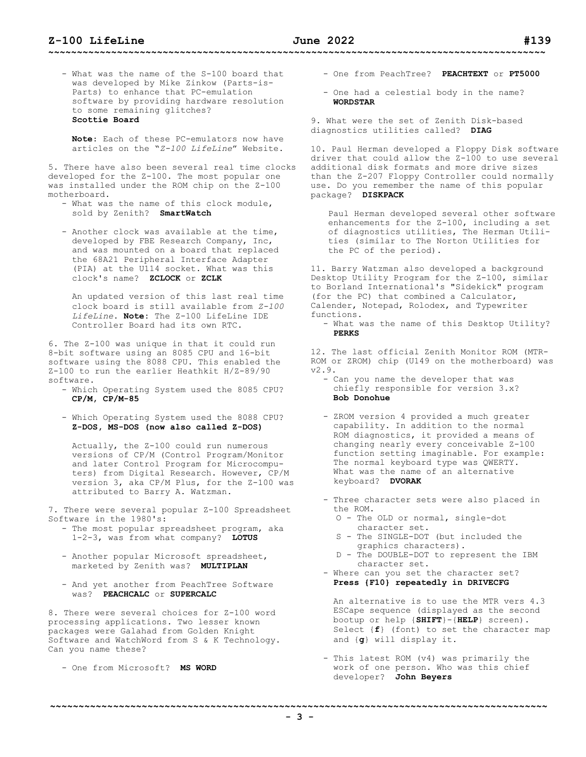- What was the name of the S-100 board that was developed by Mike Zinkow (Parts-is- Parts) to enhance that PC-emulation software by providing hardware resolution to some remaining glitches? **Scottie Board**

 **Note**: Each of these PC-emulators now have articles on the "*Z-100 LifeLine*" Website.

5. There have also been several real time clocks developed for the Z-100. The most popular one was installed under the ROM chip on the Z-100 motherboard.

- What was the name of this clock module, sold by Zenith? **SmartWatch**
- Another clock was available at the time, developed by FBE Research Company, Inc, and was mounted on a board that replaced the 68A21 Peripheral Interface Adapter (PIA) at the U114 socket. What was this clock's name? **ZCLOCK** or **ZCLK**

 An updated version of this last real time clock board is still available from *Z-100 LifeLine*. **Note:** The Z-100 LifeLine IDE Controller Board had its own RTC.

6. The Z-100 was unique in that it could run 8-bit software using an 8085 CPU and 16-bit software using the 8088 CPU. This enabled the Z-100 to run the earlier Heathkit H/Z-89/90 software.

- Which Operating System used the 8085 CPU? **CP/M, CP/M-85**
- Which Operating System used the 8088 CPU? **Z-DOS, MS-DOS (now also called Z-DOS)**

 Actually, the Z-100 could run numerous versions of CP/M (Control Program/Monitor and later Control Program for Microcompu ters) from Digital Research. However, CP/M version 3, aka CP/M Plus, for the Z-100 was attributed to Barry A. Watzman.

7. There were several popular Z-100 Spreadsheet Software in the 1980's:

- The most popular spreadsheet program, aka 1-2-3, was from what company? **LOTUS**
- Another popular Microsoft spreadsheet, marketed by Zenith was? **MULTIPLAN**
- And yet another from PeachTree Software was? **PEACHCALC** or **SUPERCALC**

8. There were several choices for Z-100 word processing applications. Two lesser known packages were Galahad from Golden Knight Software and WatchWord from S & K Technology. Can you name these?

- One from Microsoft? **MS WORD**

- One from PeachTree? **PEACHTEXT** or **PT5000**

- One had a celestial body in the name? **WORDSTAR**

9. What were the set of Zenith Disk-based diagnostics utilities called? **DIAG**

10. Paul Herman developed a Floppy Disk software driver that could allow the Z-100 to use several additional disk formats and more drive sizes than the Z-207 Floppy Controller could normally use. Do you remember the name of this popular package? **DISKPACK**

Paul Herman developed several other software enhancements for the Z-100, including a set of diagnostics utilities, The Herman Utilities (similar to The Norton Utilities for the PC of the period).

11. Barry Watzman also developed a background Desktop Utility Program for the Z-100, similar to Borland International's "Sidekick" program (for the PC) that combined a Calculator, Calender, Notepad, Rolodex, and Typewriter functions.

- What was the name of this Desktop Utility? **PERKS**

12. The last official Zenith Monitor ROM (MTR-ROM or ZROM) chip (U149 on the motherboard) was v2.9.

- Can you name the developer that was chiefly responsible for version 3.x? **Bob Donohue**
- ZROM version 4 provided a much greater capability. In addition to the normal ROM diagnostics, it provided a means of changing nearly every conceivable Z-100 function setting imaginable. For example: The normal keyboard type was QWERTY. What was the name of an alternative keyboard? **DVORAK**
- Three character sets were also placed in the ROM.
	- O The OLD or normal, single-dot character set.
- S The SINGLE-DOT (but included the graphics characters).
	- D The DOUBLE-DOT to represent the IBM character set.
	- Where can you set the character set? **Press {F10} repeatedly in DRIVECFG**

 An alternative is to use the MTR vers 4.3 ESCape sequence (displayed as the second bootup or help {**SHIFT**}-{**HELP**} screen). Select {**f**} (font) to set the character map and {**g**} will display it.

- This latest ROM (v4) was primarily the work of one person. Who was this chief developer? **John Beyers**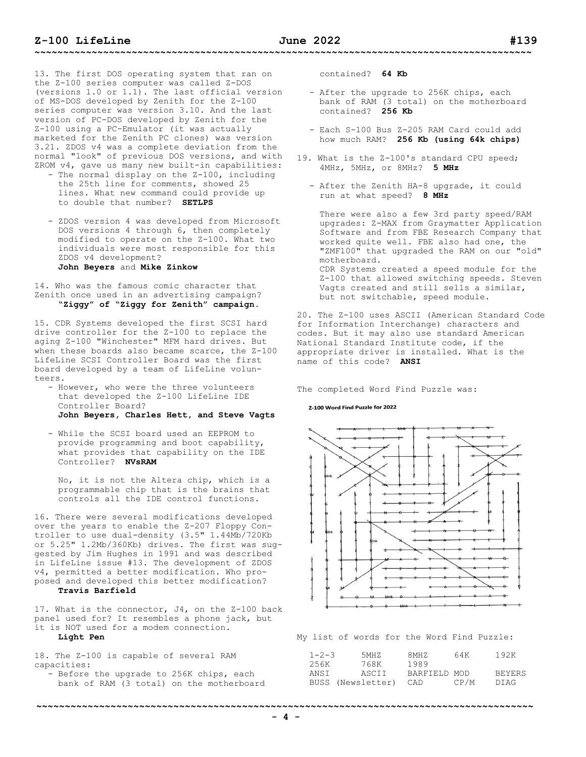13. The first DOS operating system that ran on the Z-100 series computer was called Z-DOS (versions 1.0 or 1.1). The last official version of MS-DOS developed by Zenith for the Z-100 series computer was version 3.10. And the last version of PC-DOS developed by Zenith for the Z-100 using a PC-Emulator (it was actually marketed for the Zenith PC clones) was version 3.21. ZDOS v4 was a complete deviation from the normal "look" of previous DOS versions, and with ZROM v4, gave us many new built-in capabilities:

- The normal display on the Z-100, including the 25th line for comments, showed 25 lines. What new command could provide up to double that number? **SETLPS**
- ZDOS version 4 was developed from Microsoft DOS versions 4 through 6, then completely modified to operate on the Z-100. What two individuals were most responsible for this ZDOS v4 development? **John Beyers** and **Mike Zinkow**

14. Who was the famous comic character that Zenith once used in an advertising campaign? **"Ziggy" of "Ziggy for Zenith" campaign.**

15. CDR Systems developed the first SCSI hard drive controller for the Z-100 to replace the aging Z-100 "Winchester" MFM hard drives. But when these boards also became scarce, the Z-100 LifeLine SCSI Controller Board was the first board developed by a team of LifeLine volunteers.

- However, who were the three volunteers that developed the Z-100 LifeLine IDE Controller Board? **John Beyers, Charles Hett, and Steve Vagts**
- While the SCSI board used an EEPROM to provide programming and boot capability, what provides that capability on the IDE Controller? **NVsRAM**

 No, it is not the Altera chip, which is a programmable chip that is the brains that controls all the IDE control functions.

16. There were several modifications developed over the years to enable the Z-207 Floppy Controller to use dual-density (3.5" 1.44Mb/720Kb or 5.25" 1.2Mb/360Kb) drives. The first was suggested by Jim Hughes in 1991 and was described in LifeLine issue #13. The development of ZDOS v4, permitted a better modification. Who proposed and developed this better modification?

## **Travis Barfield**

17. What is the connector, J4, on the Z-100 back panel used for? It resembles a phone jack, but it is NOT used for a modem connection.

# **Light Pen**

18. The Z-100 is capable of several RAM capacities:

- Before the upgrade to 256K chips, each bank of RAM (3 total) on the motherboard contained? **64 Kb**

- After the upgrade to 256K chips, each bank of RAM (3 total) on the motherboard contained? **256 Kb**
- Each S-100 Bus Z-205 RAM Card could add how much RAM? **256 Kb (using 64k chips)**
- 19. What is the Z-100's standard CPU speed; 4MHz, 5MHz, or 8MHz? **5 MHz**
	- After the Zenith HA-8 upgrade, it could run at what speed? **8 MHz**

 There were also a few 3rd party speed/RAM upgrades: Z-MAX from Graymatter Application Software and from FBE Research Company that worked quite well. FBE also had one, the "ZMF100" that upgraded the RAM on our "old" motherboard. CDR Systems created a speed module for the Z-100 that allowed switching speeds. Steven Vagts created and still sells a similar, but not switchable, speed module.

20. The Z-100 uses ASCII (American Standard Code for Information Interchange) characters and codes. But it may also use standard American National Standard Institute code, if the appropriate driver is installed. What is the name of this code? **ANSI**

The completed Word Find Puzzle was:

#### Z-100 Word Find Puzzle for 2022



My list of words for the Word Find Puzzle:

| $1 - 2 - 3$ | 5MH 7.            | 8MHZ         | 64K  | 192K          |
|-------------|-------------------|--------------|------|---------------|
| 256K        | 768K              | 1989         |      |               |
| ANST        | ASCII             | BARFIELD MOD |      | <b>BEYERS</b> |
|             | BUSS (Newsletter) | CAD          | CP/M | DTAG.         |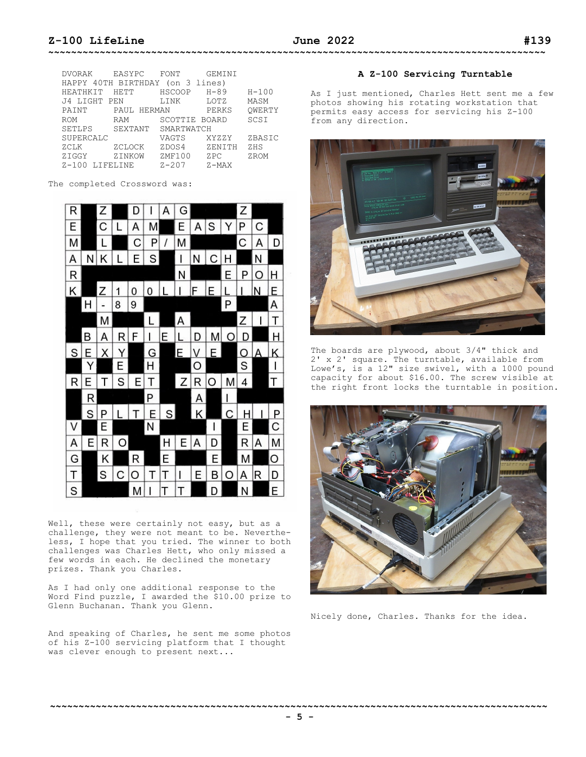| DVORAK              | EASYPC          | FONT              | GEMINI   |           |
|---------------------|-----------------|-------------------|----------|-----------|
| HAPPY 40TH BIRTHDAY |                 | $($ on $3$ lines) |          |           |
| HEATHKIT            | <b>HETT</b>     | <b>HSCOOP</b>     | $H - 89$ | $H - 100$ |
| J4 LIGHT PEN        |                 | <b>T.TNK</b>      | LOTZ     | MASM      |
| PAINT               | HERMAN<br>PAUL. |                   | PERKS    | OWERTY    |
| <b>ROM</b>          | RAM             | SCOTTIE BOARD     |          | SCSI      |
| <b>SETLPS</b>       | SEXTANT         | SMARTWATCH        |          |           |
| SUPERCALC           |                 | VAGTS             | XYZZY    | ZBASIC    |
| ZCLK                | ZCLOCK          | ZDOS4             | ZENITH   | ZHS       |
| ZIGGY               | ZINKOW          | ZMF100            | ZPC      | ZROM      |
| $7 - 100$           | LIFELINE        | $7 - 207$         | $Z-MAX$  |           |

The completed Crossword was:



Well, these were certainly not easy, but as a challenge, they were not meant to be. Nevertheless, I hope that you tried. The winner to both challenges was Charles Hett, who only missed a few words in each. He declined the monetary prizes. Thank you Charles.

As I had only one additional response to the Word Find puzzle, I awarded the \$10.00 prize to Glenn Buchanan. Thank you Glenn.

And speaking of Charles, he sent me some photos of his Z-100 servicing platform that I thought was clever enough to present next...

## **A Z-100 Servicing Turntable**

As I just mentioned, Charles Hett sent me a few photos showing his rotating workstation that permits easy access for servicing his Z-100 from any direction.



The boards are plywood, about 3/4" thick and 2' x 2' square. The turntable, available from Lowe's, is a 12" size swivel, with a 1000 pound capacity for about \$16.00. The screw visible at the right front locks the turntable in position.



Nicely done, Charles. Thanks for the idea.

**~~~~~~~~~~~~~~~~~~~~~~~~~~~~~~~~~~~~~~~~~~~~~~~~~~~~~~~~~~~~~~~~~~~~~~~~~~~~~~~~~~~~~~~**